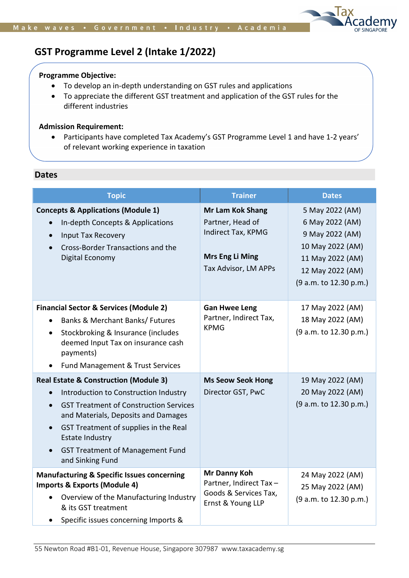

# GST Programme Level 2 (Intake 1/2022)

#### Programme Objective:

- To develop an in-depth understanding on GST rules and applications
- To appreciate the different GST treatment and application of the GST rules for the different industries

#### Admission Requirement:

 Participants have completed Tax Academy's GST Programme Level 1 and have 1-2 years' of relevant working experience in taxation

## Dates

| <b>Topic</b>                                                                                                                                                                                                                                                                                                                     | <b>Trainer</b>                                                                                                      | <b>Dates</b>                                                                                                                                |
|----------------------------------------------------------------------------------------------------------------------------------------------------------------------------------------------------------------------------------------------------------------------------------------------------------------------------------|---------------------------------------------------------------------------------------------------------------------|---------------------------------------------------------------------------------------------------------------------------------------------|
| <b>Concepts &amp; Applications (Module 1)</b><br>In-depth Concepts & Applications<br><b>Input Tax Recovery</b><br>$\bullet$<br>Cross-Border Transactions and the<br>Digital Economy                                                                                                                                              | <b>Mr Lam Kok Shang</b><br>Partner, Head of<br>Indirect Tax, KPMG<br><b>Mrs Eng Li Ming</b><br>Tax Advisor, LM APPs | 5 May 2022 (AM)<br>6 May 2022 (AM)<br>9 May 2022 (AM)<br>10 May 2022 (AM)<br>11 May 2022 (AM)<br>12 May 2022 (AM)<br>(9 a.m. to 12.30 p.m.) |
| <b>Financial Sector &amp; Services (Module 2)</b><br><b>Banks &amp; Merchant Banks/ Futures</b><br>Stockbroking & Insurance (includes<br>deemed Input Tax on insurance cash<br>payments)<br>Fund Management & Trust Services                                                                                                     | <b>Gan Hwee Leng</b><br>Partner, Indirect Tax,<br><b>KPMG</b>                                                       | 17 May 2022 (AM)<br>18 May 2022 (AM)<br>(9 a.m. to 12.30 p.m.)                                                                              |
| <b>Real Estate &amp; Construction (Module 3)</b><br>Introduction to Construction Industry<br><b>GST Treatment of Construction Services</b><br>$\bullet$<br>and Materials, Deposits and Damages<br>GST Treatment of supplies in the Real<br><b>Estate Industry</b><br><b>GST Treatment of Management Fund</b><br>and Sinking Fund | <b>Ms Seow Seok Hong</b><br>Director GST, PwC                                                                       | 19 May 2022 (AM)<br>20 May 2022 (AM)<br>(9 a.m. to 12.30 p.m.)                                                                              |
| <b>Manufacturing &amp; Specific Issues concerning</b><br><b>Imports &amp; Exports (Module 4)</b><br>Overview of the Manufacturing Industry<br>& its GST treatment<br>Specific issues concerning Imports &                                                                                                                        | Mr Danny Koh<br>Partner, Indirect Tax-<br>Goods & Services Tax,<br>Ernst & Young LLP                                | 24 May 2022 (AM)<br>25 May 2022 (AM)<br>(9 a.m. to 12.30 p.m.)                                                                              |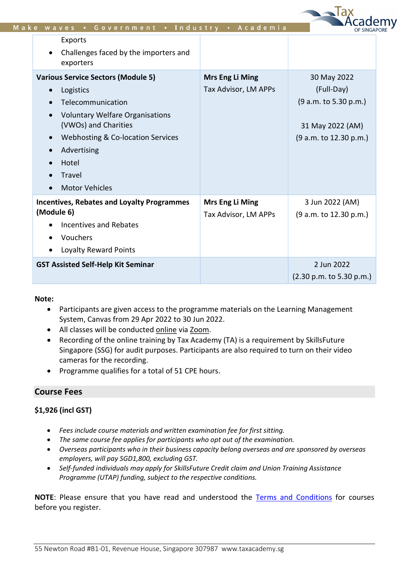| <b>Various Service Sectors (Module 5)</b><br><b>Mrs Eng Li Ming</b><br>30 May 2022<br>(Full-Day)<br>Tax Advisor, LM APPs<br>Logistics<br>$\bullet$<br>Telecommunication<br><b>Voluntary Welfare Organisations</b><br>(VWOs) and Charities<br>Webhosting & Co-location Services<br>$\bullet$<br>Advertising<br>$\bullet$<br>Hotel<br>Travel<br><b>Motor Vehicles</b><br>$\bullet$<br><b>Mrs Eng Li Ming</b><br>3 Jun 2022 (AM)<br><b>Incentives, Rebates and Loyalty Programmes</b><br>(Module 6)<br>Tax Advisor, LM APPs<br><b>Incentives and Rebates</b><br>Vouchers | <b>Exports</b><br>Challenges faced by the importers and<br>$\bullet$<br>exporters |                                                                     |
|-----------------------------------------------------------------------------------------------------------------------------------------------------------------------------------------------------------------------------------------------------------------------------------------------------------------------------------------------------------------------------------------------------------------------------------------------------------------------------------------------------------------------------------------------------------------------|-----------------------------------------------------------------------------------|---------------------------------------------------------------------|
|                                                                                                                                                                                                                                                                                                                                                                                                                                                                                                                                                                       |                                                                                   | (9 a.m. to 5.30 p.m.)<br>31 May 2022 (AM)<br>(9 a.m. to 12.30 p.m.) |
| Loyalty Reward Points                                                                                                                                                                                                                                                                                                                                                                                                                                                                                                                                                 |                                                                                   | (9 a.m. to 12.30 p.m.)                                              |

Toy

## Note:

- Participants are given access to the programme materials on the Learning Management System, Canvas from 29 Apr 2022 to 30 Jun 2022.
- All classes will be conducted online via Zoom.
- Recording of the online training by Tax Academy (TA) is a requirement by SkillsFuture Singapore (SSG) for audit purposes. Participants are also required to turn on their video cameras for the recording.
- Programme qualifies for a total of 51 CPE hours.

## Course Fees

## \$1,926 (incl GST)

- Fees include course materials and written examination fee for first sitting.
- The same course fee applies for participants who opt out of the examination.
- Overseas participants who in their business capacity belong overseas and are sponsored by overseas employers, will pay SGD1,800, excluding GST.
- Self-funded individuals may apply for SkillsFuture Credit claim and Union Training Assistance Programme (UTAP) funding, subject to the respective conditions.

NOTE: Please ensure that you have read and understood the Terms and Conditions for courses before you register.